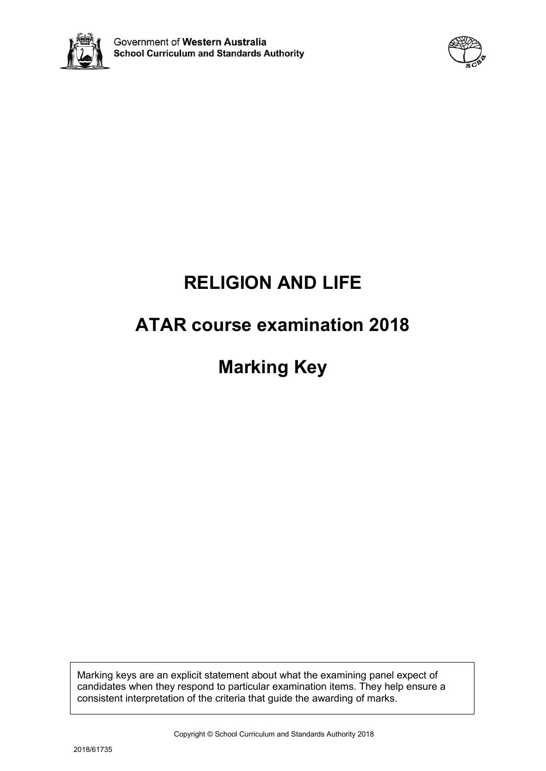



# **RELIGION AND LIFE**

# **ATAR course examination 2018**

# **Marking Key**

Marking keys are an explicit statement about what the examining panel expect of candidates when they respond to particular examination items. They help ensure a consistent interpretation of the criteria that guide the awarding of marks.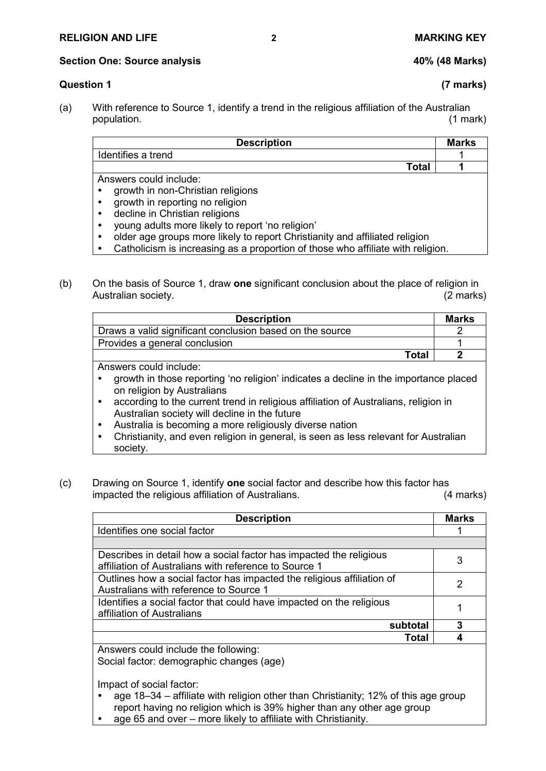**Section One: Source analysis 40% (48 Marks)**

## **Question 1 (7 marks)**

(a) With reference to Source 1, identify a trend in the religious affiliation of the Australian population. (1 mark)

| <b>Description</b>                                                          | <b>Marks</b> |
|-----------------------------------------------------------------------------|--------------|
| Identifies a trend                                                          |              |
| Total                                                                       |              |
| Answers could include:                                                      |              |
| growth in non-Christian religions                                           |              |
| growth in reporting no religion                                             |              |
| decline in Christian religions                                              |              |
| young adults more likely to report 'no religion'                            |              |
| older age groups more likely to report Christianity and affiliated religion |              |
|                                                                             |              |

- **EXEC** Catholicism is increasing as a proportion of those who affiliate with religion.
- (b) On the basis of Source 1, draw **one** significant conclusion about the place of religion in Australian society.

| <b>Description</b>                                                                   | <b>Marks</b> |
|--------------------------------------------------------------------------------------|--------------|
| Draws a valid significant conclusion based on the source                             |              |
| Provides a general conclusion                                                        |              |
| <b>Total</b>                                                                         |              |
| Answers could include:                                                               |              |
| growth in those reporting 'no religion' indicates a decline in the importance placed |              |

on religion by Australians according to the current trend in religious affiliation of Australians, religion in

- Australian society will decline in the future
- Australia is becoming a more religiously diverse nation
- Christianity, and even religion in general, is seen as less relevant for Australian society.
- (c) Drawing on Source 1, identify **one** social factor and describe how this factor has impacted the religious affiliation of Australians. (4 marks)

| <b>Description</b>                                                     | <b>Marks</b> |
|------------------------------------------------------------------------|--------------|
| Identifies one social factor                                           |              |
|                                                                        |              |
| Describes in detail how a social factor has impacted the religious     |              |
| affiliation of Australians with reference to Source 1                  | 3            |
| Outlines how a social factor has impacted the religious affiliation of |              |
| Australians with reference to Source 1                                 | 2            |
| Identifies a social factor that could have impacted on the religious   |              |
| affiliation of Australians                                             |              |
| subtotal                                                               | 3            |
| Total                                                                  |              |
| Anewere could include the following.                                   |              |

d include the following:

Social factor: demographic changes (age)

Impact of social factor:

- age 18-34 affiliate with religion other than Christianity; 12% of this age group report having no religion which is 39% higher than any other age group
- age 65 and over more likely to affiliate with Christianity.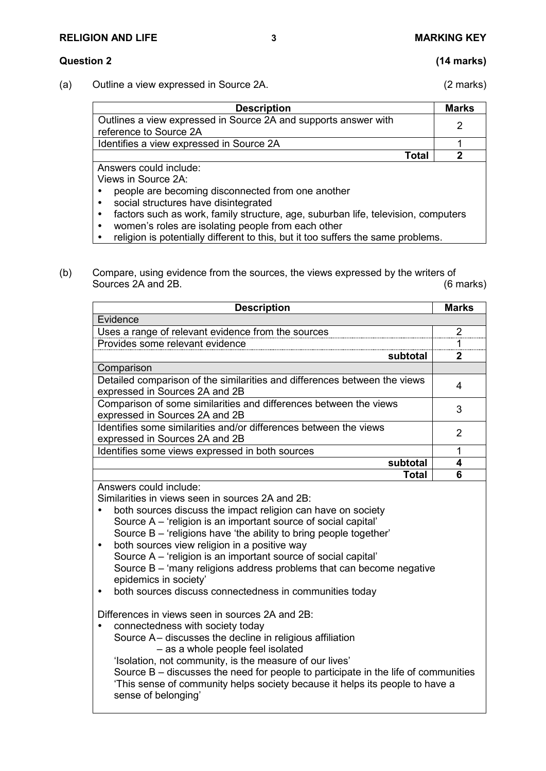#### **RELIGION AND LIFE 3 MARKING KEY**

# **Question 2 (14 marks)**

(a) Outline a view expressed in Source 2A. (2 marks)

**Description** Marks Outlines a view expressed in Source 2A and supports answer with Dumites a view expressed in Source 2A and supports answer with  $\sim$  2 Identifies a view expressed in Source 2A 1 **Total 2**

Answers could include:

Views in Source 2A:

- people are becoming disconnected from one another
- social structures have disintegrated
- factors such as work, family structure, age, suburban life, television, computers
- women's roles are isolating people from each other
- religion is potentially different to this, but it too suffers the same problems.
- (b) Compare, using evidence from the sources, the views expressed by the writers of Sources 2A and 2B. (6 marks)

| <b>Description</b>                                                                                          | <b>Marks</b> |
|-------------------------------------------------------------------------------------------------------------|--------------|
| Evidence                                                                                                    |              |
| Uses a range of relevant evidence from the sources                                                          | າ            |
| Provides some relevant evidence                                                                             |              |
| subtotal                                                                                                    |              |
| Comparison                                                                                                  |              |
| Detailed comparison of the similarities and differences between the views<br>expressed in Sources 2A and 2B |              |
| Comparison of some similarities and differences between the views<br>expressed in Sources 2A and 2B         | 3            |
| Identifies some similarities and/or differences between the views<br>expressed in Sources 2A and 2B         | 2            |
| Identifies some views expressed in both sources                                                             |              |
| subtotal                                                                                                    |              |
| Total                                                                                                       | Բ            |

Answers could include:

Similarities in views seen in sources 2A and 2B:

- both sources discuss the impact religion can have on society Source A – 'religion is an important source of social capital' Source B – 'religions have 'the ability to bring people together'
- both sources view religion in a positive way Source A – 'religion is an important source of social capital' Source B – 'many religions address problems that can become negative epidemics in society'
- both sources discuss connectedness in communities today

Differences in views seen in sources 2A and 2B:

 connectedness with society today Source A– discusses the decline in religious affiliation – as a whole people feel isolated

'Isolation, not community, is the measure of our lives'

Source B – discusses the need for people to participate in the life of communities 'This sense of community helps society because it helps its people to have a sense of belonging'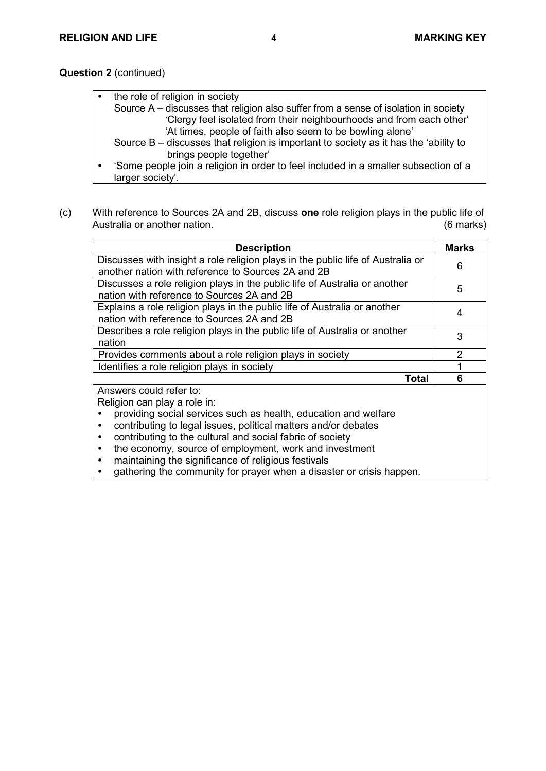**Question 2** (continued)

| the role of religion in society                                                      |
|--------------------------------------------------------------------------------------|
| Source A – discusses that religion also suffer from a sense of isolation in society  |
| 'Clergy feel isolated from their neighbourhoods and from each other'                 |
| 'At times, people of faith also seem to be bowling alone'                            |
| Source B – discusses that religion is important to society as it has the 'ability to |
| brings people together'                                                              |
| 'Some people join a religion in order to feel included in a smaller subsection of a  |
| larger society'.                                                                     |

(c) With reference to Sources 2A and 2B, discuss **one** role religion plays in the public life of Australia or another nation. (6 marks)

| <b>Description</b>                                                              | <b>Marks</b>  |
|---------------------------------------------------------------------------------|---------------|
| Discusses with insight a role religion plays in the public life of Australia or | 6             |
| another nation with reference to Sources 2A and 2B                              |               |
| Discusses a role religion plays in the public life of Australia or another      | 5             |
| nation with reference to Sources 2A and 2B                                      |               |
| Explains a role religion plays in the public life of Australia or another       | 4             |
| nation with reference to Sources 2A and 2B                                      |               |
| Describes a role religion plays in the public life of Australia or another      | 3             |
| nation                                                                          |               |
| Provides comments about a role religion plays in society                        | $\mathcal{P}$ |
| Identifies a role religion plays in society                                     |               |
| Total                                                                           | 6             |
| Answers could refer to:                                                         |               |
| Religion can play a role in:                                                    |               |
| providing social services such as health, education and welfare                 |               |
| contributing to legal issues, political matters and/or debates                  |               |
| contributing to the cultural and social fabric of society                       |               |
| the economy, source of employment, work and investment<br>٠                     |               |
| maintaining the significance of religious festivals                             |               |

• gathering the community for prayer when a disaster or crisis happen.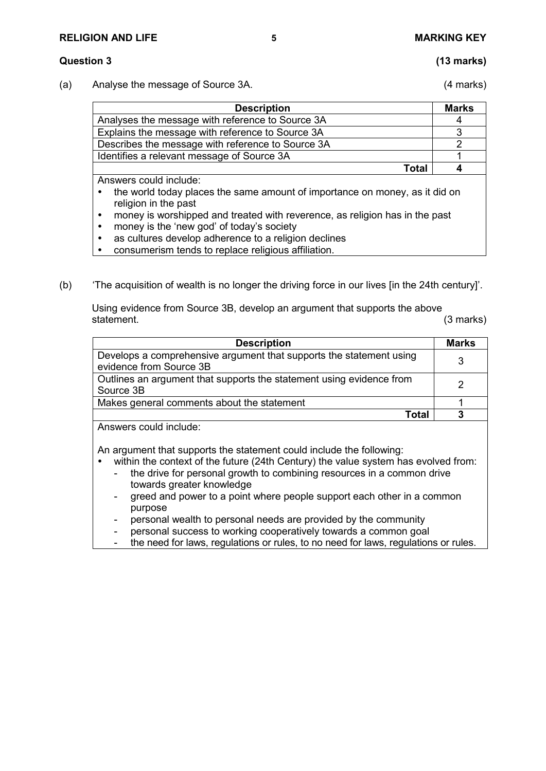### **Question 3 (13 marks)**

(a) Analyse the message of Source 3A. (4 marks)

| <b>Description</b>                                | <b>Marks</b> |
|---------------------------------------------------|--------------|
| Analyses the message with reference to Source 3A  |              |
| Explains the message with reference to Source 3A  |              |
| Describes the message with reference to Source 3A |              |
| Identifies a relevant message of Source 3A        |              |
| Total                                             |              |

Answers could include:

- the world today places the same amount of importance on money, as it did on religion in the past
- money is worshipped and treated with reverence, as religion has in the past
- money is the 'new god' of today's society
- as cultures develop adherence to a religion declines
- consumerism tends to replace religious affiliation.
- (b) 'The acquisition of wealth is no longer the driving force in our lives [in the 24th century]'.

Using evidence from Source 3B, develop an argument that supports the above statement. (3 marks)

| <b>Description</b>                                                                             | Marks |
|------------------------------------------------------------------------------------------------|-------|
| Develops a comprehensive argument that supports the statement using<br>evidence from Source 3B |       |
| Outlines an argument that supports the statement using evidence from<br>Source 3B              |       |
| Makes general comments about the statement                                                     |       |
| Total                                                                                          |       |

Answers could include:

An argument that supports the statement could include the following:

- within the context of the future (24th Century) the value system has evolved from:
	- the drive for personal growth to combining resources in a common drive towards greater knowledge
	- greed and power to a point where people support each other in a common purpose
	- personal wealth to personal needs are provided by the community
	- personal success to working cooperatively towards a common goal
	- the need for laws, regulations or rules, to no need for laws, regulations or rules.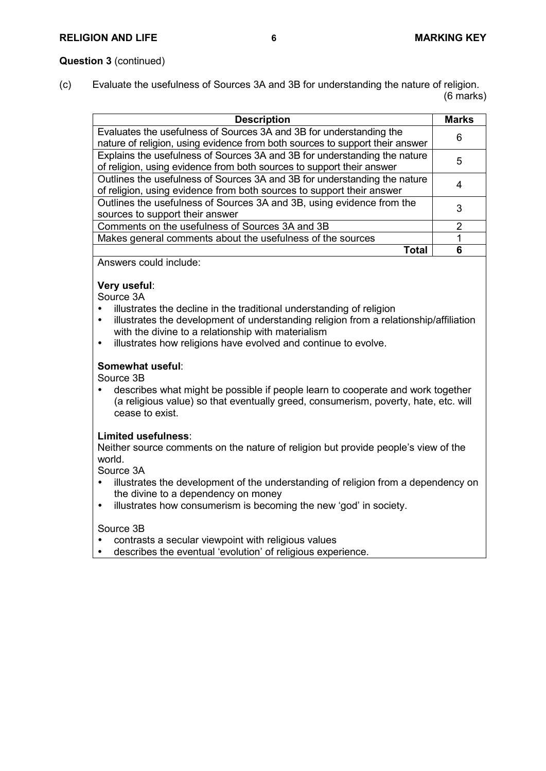### **Question 3** (continued)

(c) Evaluate the usefulness of Sources 3A and 3B for understanding the nature of religion. (6 marks)

| <b>Description</b>                                                           | <b>Marks</b>  |
|------------------------------------------------------------------------------|---------------|
| Evaluates the usefulness of Sources 3A and 3B for understanding the          | 6             |
| nature of religion, using evidence from both sources to support their answer |               |
| Explains the usefulness of Sources 3A and 3B for understanding the nature    |               |
| of religion, using evidence from both sources to support their answer        | 5             |
| Outlines the usefulness of Sources 3A and 3B for understanding the nature    |               |
| of religion, using evidence from both sources to support their answer        |               |
| Outlines the usefulness of Sources 3A and 3B, using evidence from the        | 3             |
| sources to support their answer                                              |               |
| Comments on the usefulness of Sources 3A and 3B                              | $\mathcal{P}$ |
| Makes general comments about the usefulness of the sources                   |               |
| Total                                                                        | Բ             |

Answers could include:

#### **Very useful**:

Source 3A

- illustrates the decline in the traditional understanding of religion
- illustrates the development of understanding religion from a relationship/affiliation with the divine to a relationship with materialism
- $\bullet$  illustrates how religions have evolved and continue to evolve.

#### **Somewhat useful**:

Source 3B

 describes what might be possible if people learn to cooperate and work together (a religious value) so that eventually greed, consumerism, poverty, hate, etc. will cease to exist.

### **Limited usefulness**:

Neither source comments on the nature of religion but provide people's view of the world.

Source 3A

- illustrates the development of the understanding of religion from a dependency on the divine to a dependency on money
- illustrates how consumerism is becoming the new 'god' in society.

Source 3B

- contrasts a secular viewpoint with religious values
- describes the eventual 'evolution' of religious experience.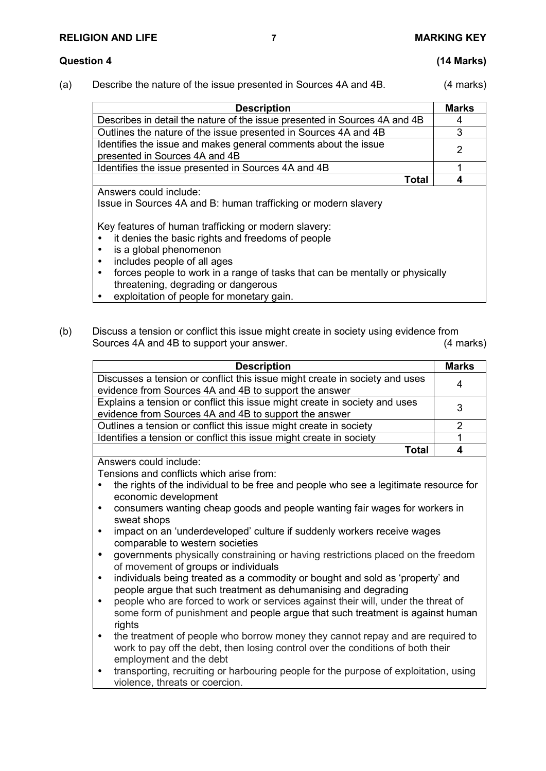### **Question 4 (14 Marks)**

(a) Describe the nature of the issue presented in Sources 4A and 4B. (4 marks)

| <b>Description</b>                                                                                | <b>Marks</b> |
|---------------------------------------------------------------------------------------------------|--------------|
| Describes in detail the nature of the issue presented in Sources 4A and 4B                        | 4            |
| Outlines the nature of the issue presented in Sources 4A and 4B                                   |              |
| Identifies the issue and makes general comments about the issue<br>presented in Sources 4A and 4B | 2            |
| Identifies the issue presented in Sources 4A and 4B                                               |              |
| Total                                                                                             |              |
| Answers could include:<br>Issue in Sources 4A and B: human trafficking or modern slavery          |              |

Key features of human trafficking or modern slavery:

• it denies the basic rights and freedoms of people

- is a global phenomenon
- includes people of all ages
- forces people to work in a range of tasks that can be mentally or physically threatening, degrading or dangerous
- exploitation of people for monetary gain.
- (b) Discuss a tension or conflict this issue might create in society using evidence from Sources 4A and 4B to support your answer. (4 marks)

| <b>Description</b>                                                          | <b>Marks</b> |
|-----------------------------------------------------------------------------|--------------|
| Discusses a tension or conflict this issue might create in society and uses | 4            |
| evidence from Sources 4A and 4B to support the answer                       |              |
| Explains a tension or conflict this issue might create in society and uses  | 3            |
| evidence from Sources 4A and 4B to support the answer                       |              |
| Outlines a tension or conflict this issue might create in society           |              |
| Identifies a tension or conflict this issue might create in society         |              |
| Total                                                                       |              |

Answers could include:

Tensions and conflicts which arise from:

- the rights of the individual to be free and people who see a legitimate resource for economic development
- consumers wanting cheap goods and people wanting fair wages for workers in sweat shops
- impact on an 'underdeveloped' culture if suddenly workers receive wages comparable to western societies
- governments physically constraining or having restrictions placed on the freedom of movement of groups or individuals
- individuals being treated as a commodity or bought and sold as 'property' and people argue that such treatment as dehumanising and degrading
- people who are forced to work or services against their will, under the threat of some form of punishment and people argue that such treatment is against human rights
- the treatment of people who borrow money they cannot repay and are required to work to pay off the debt, then losing control over the conditions of both their employment and the debt
- transporting, recruiting or harbouring people for the purpose of exploitation, using violence, threats or coercion.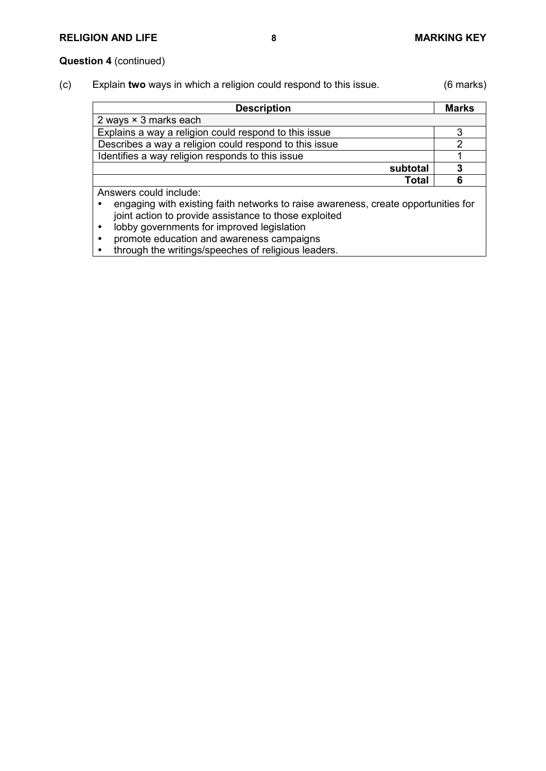### **Question 4** (continued)

(c) Explain **two** ways in which a religion could respond to this issue. (6 marks)

| <b>Description</b>                                     | <b>Marks</b> |
|--------------------------------------------------------|--------------|
| 2 ways $\times$ 3 marks each                           |              |
| Explains a way a religion could respond to this issue  |              |
| Describes a way a religion could respond to this issue |              |
| Identifies a way religion responds to this issue       |              |
|                                                        | subtotal     |
|                                                        | <b>Total</b> |
| Answers could include:                                 |              |

 engaging with existing faith networks to raise awareness, create opportunities for joint action to provide assistance to those exploited

• lobby governments for improved legislation

• promote education and awareness campaigns<br>• through the writings/speeches of religious lead through the writings/speeches of religious leaders.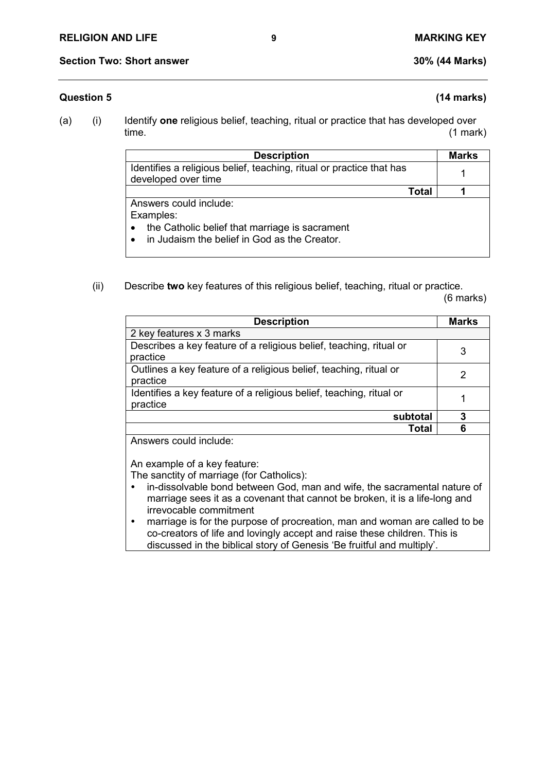### **Question 5 (14 marks)**

- 
- (a) (i) Identify **one** religious belief, teaching, ritual or practice that has developed over time. (1 mark)

| <b>Description</b>                                                                                                                                              | <b>Marks</b> |
|-----------------------------------------------------------------------------------------------------------------------------------------------------------------|--------------|
| Identifies a religious belief, teaching, ritual or practice that has<br>developed over time                                                                     |              |
| Total                                                                                                                                                           |              |
| Answers could include:<br>Examples:<br>the Catholic belief that marriage is sacrament<br>$\bullet$<br>in Judaism the belief in God as the Creator.<br>$\bullet$ |              |

(ii) Describe **two** key features of this religious belief, teaching, ritual or practice.

(6 marks)

| <b>Description</b>                                                              | <b>Marks</b> |
|---------------------------------------------------------------------------------|--------------|
| 2 key features x 3 marks                                                        |              |
| Describes a key feature of a religious belief, teaching, ritual or<br>practice  | 3            |
| Outlines a key feature of a religious belief, teaching, ritual or<br>practice   | 2            |
| Identifies a key feature of a religious belief, teaching, ritual or<br>practice |              |
| subtotal                                                                        | 3            |
| <b>Total</b>                                                                    |              |

Answers could include:

An example of a key feature:

The sanctity of marriage (for Catholics):

- in-dissolvable bond between God, man and wife, the sacramental nature of marriage sees it as a covenant that cannot be broken, it is a life-long and irrevocable commitment
- marriage is for the purpose of procreation, man and woman are called to be co-creators of life and lovingly accept and raise these children. This is discussed in the biblical story of Genesis 'Be fruitful and multiply'.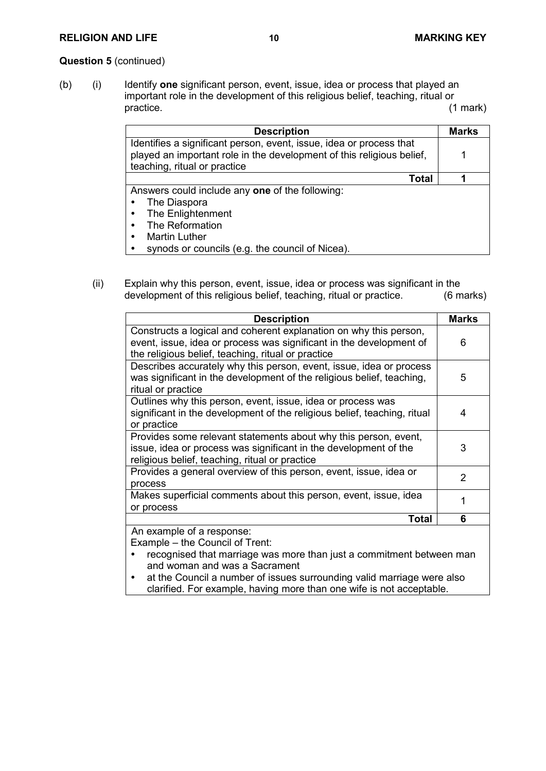#### **RELIGION AND LIFE 10 MARKING KEY**

### **Question 5** (continued)

(b) (i) Identify **one** significant person, event, issue, idea or process that played an important role in the development of this religious belief, teaching, ritual or practice. (1 mark)

| <b>Description</b>                                                                                                                                                           | <b>Marks</b> |
|------------------------------------------------------------------------------------------------------------------------------------------------------------------------------|--------------|
| Identifies a significant person, event, issue, idea or process that<br>played an important role in the development of this religious belief,<br>teaching, ritual or practice |              |
| Total                                                                                                                                                                        |              |
| Answers could include any one of the following:                                                                                                                              |              |
| The Diaspora                                                                                                                                                                 |              |
| The Enlightenment<br>٠                                                                                                                                                       |              |
| The Reformation<br>٠                                                                                                                                                         |              |
| <b>Martin Luther</b><br>$\bullet$                                                                                                                                            |              |
| synods or councils (e.g. the council of Nicea).<br>٠                                                                                                                         |              |

(ii) Explain why this person, event, issue, idea or process was significant in the development of this religious belief, teaching, ritual or practice. (6 marks) development of this religious belief, teaching, ritual or practice.

| <b>Description</b>                                                       | Marks         |
|--------------------------------------------------------------------------|---------------|
| Constructs a logical and coherent explanation on why this person,        |               |
| event, issue, idea or process was significant in the development of      | 6             |
| the religious belief, teaching, ritual or practice                       |               |
| Describes accurately why this person, event, issue, idea or process      |               |
| was significant in the development of the religious belief, teaching,    | 5             |
| ritual or practice                                                       |               |
| Outlines why this person, event, issue, idea or process was              |               |
| significant in the development of the religious belief, teaching, ritual | 4             |
| or practice                                                              |               |
| Provides some relevant statements about why this person, event,          |               |
| issue, idea or process was significant in the development of the         | 3             |
| religious belief, teaching, ritual or practice                           |               |
| Provides a general overview of this person, event, issue, idea or        |               |
| process                                                                  | $\mathcal{P}$ |
| Makes superficial comments about this person, event, issue, idea         |               |
| or process                                                               |               |
| <b>Total</b>                                                             | 6             |
| An example of a response:                                                |               |
| Example - the Council of Trent:                                          |               |

- recognised that marriage was more than just a commitment between man and woman and was a Sacrament
- at the Council a number of issues surrounding valid marriage were also clarified. For example, having more than one wife is not acceptable.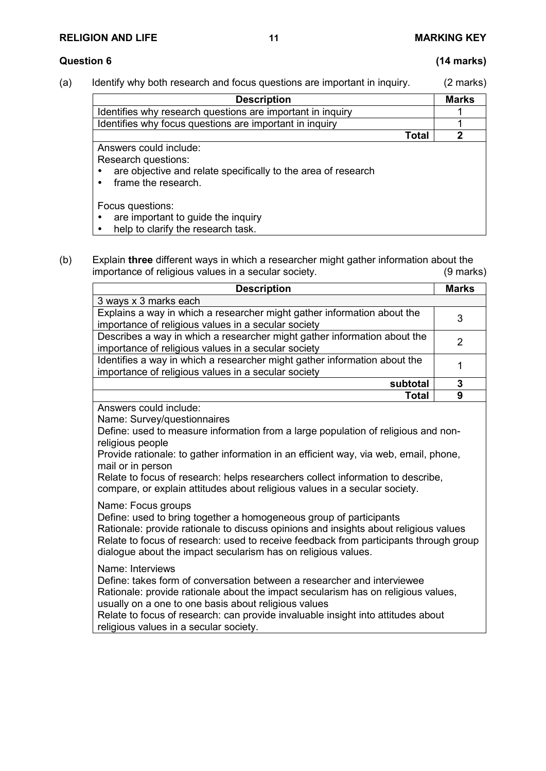### **Question 6 (14 marks)**

(a) Identify why both research and focus questions are important in inquiry. (2 marks)

| <b>Description</b>                                                                                                                    |              | <b>Marks</b> |
|---------------------------------------------------------------------------------------------------------------------------------------|--------------|--------------|
| Identifies why research questions are important in inquiry                                                                            |              |              |
| Identifies why focus questions are important in inquiry                                                                               |              |              |
|                                                                                                                                       | <b>Total</b> | 2            |
| Answers could include:<br>Research questions:<br>are objective and relate specifically to the area of research<br>frame the research. |              |              |
| Focus questions:<br>are important to guide the inquiry                                                                                |              |              |

- help to clarify the research task.
- (b) Explain **three** different ways in which a researcher might gather information about the importance of religious values in a secular society.

| <b>Description</b>                                                                    | <b>Marks</b>   |  |
|---------------------------------------------------------------------------------------|----------------|--|
| 3 ways x 3 marks each                                                                 |                |  |
| Explains a way in which a researcher might gather information about the               | 3              |  |
| importance of religious values in a secular society                                   |                |  |
| Describes a way in which a researcher might gather information about the              | $\overline{2}$ |  |
| importance of religious values in a secular society                                   |                |  |
| Identifies a way in which a researcher might gather information about the             | $\mathbf{1}$   |  |
| importance of religious values in a secular society                                   |                |  |
| subtotal                                                                              | $\overline{3}$ |  |
| Total                                                                                 | 9              |  |
| Answers could include:                                                                |                |  |
| Name: Survey/questionnaires                                                           |                |  |
| Define: used to measure information from a large population of religious and non-     |                |  |
| religious people                                                                      |                |  |
| Provide rationale: to gather information in an efficient way, via web, email, phone,  |                |  |
| mail or in person                                                                     |                |  |
| Relate to focus of research: helps researchers collect information to describe,       |                |  |
| compare, or explain attitudes about religious values in a secular society.            |                |  |
| Name: Focus groups                                                                    |                |  |
| Define: used to bring together a homogeneous group of participants                    |                |  |
| Rationale: provide rationale to discuss opinions and insights about religious values  |                |  |
| Relate to focus of research: used to receive feedback from participants through group |                |  |
| dialogue about the impact secularism has on religious values.                         |                |  |
|                                                                                       |                |  |
| Name: Interviews                                                                      |                |  |
| Define: takes form of conversation between a researcher and interviewee               |                |  |
| Rationale: provide rationale about the impact secularism has on religious values,     |                |  |
| usually on a one to one basis about religious values                                  |                |  |
| Relate to focus of research: can provide invaluable insight into attitudes about      |                |  |
| religious values in a secular society.                                                |                |  |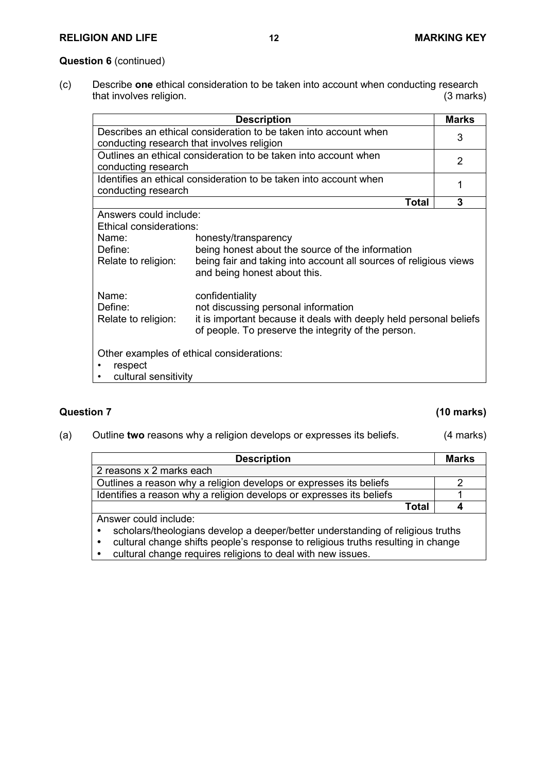#### **Question 6** (continued)

(c) Describe **one** ethical consideration to be taken into account when conducting research that involves religion.

|                                                   | <b>Description</b>                                                                                                        | <b>Marks</b> |
|---------------------------------------------------|---------------------------------------------------------------------------------------------------------------------------|--------------|
|                                                   | Describes an ethical consideration to be taken into account when<br>conducting research that involves religion            | 3            |
| conducting research                               | Outlines an ethical consideration to be taken into account when                                                           | 2            |
| conducting research                               | Identifies an ethical consideration to be taken into account when                                                         | 1            |
|                                                   | Total                                                                                                                     | 3            |
| Answers could include:<br>Ethical considerations: |                                                                                                                           |              |
| Name:                                             | honesty/transparency                                                                                                      |              |
| Define:                                           | being honest about the source of the information                                                                          |              |
| Relate to religion:                               | being fair and taking into account all sources of religious views<br>and being honest about this.                         |              |
| Name:                                             | confidentiality                                                                                                           |              |
| Define:                                           | not discussing personal information                                                                                       |              |
| Relate to religion:                               | it is important because it deals with deeply held personal beliefs<br>of people. To preserve the integrity of the person. |              |
| Other examples of ethical considerations:         |                                                                                                                           |              |
| respect                                           |                                                                                                                           |              |
| cultural sensitivity                              |                                                                                                                           |              |

## **Question 7 (10 marks)**

(a) Outline **two** reasons why a religion develops or expresses its beliefs. (4 marks)

| <b>Description</b>                                                                            | <b>Marks</b> |  |
|-----------------------------------------------------------------------------------------------|--------------|--|
| 2 reasons x 2 marks each                                                                      |              |  |
| Outlines a reason why a religion develops or expresses its beliefs                            |              |  |
| Identifies a reason why a religion develops or expresses its beliefs                          |              |  |
| Total                                                                                         |              |  |
| Answer could include:                                                                         |              |  |
| scholars/theologians develop a deeper/better understanding of religious truths<br>$\bullet$   |              |  |
| cultural change shifts people's response to religious truths resulting in change<br>$\bullet$ |              |  |
| cultural change requires religions to deal with new issues.<br>$\bullet$                      |              |  |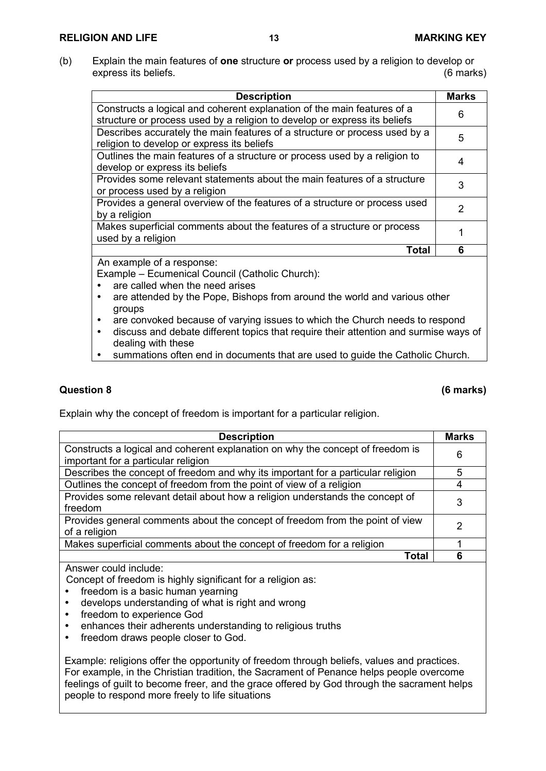(b) Explain the main features of **one** structure **or** process used by a religion to develop or express its beliefs. (6 marks)

| Constructs a logical and coherent explanation of the main features of a<br>structure or process used by a religion to develop or express its beliefs<br>Describes accurately the main features of a structure or process used by a<br>religion to develop or express its beliefs<br>Outlines the main features of a structure or process used by a religion to | 6<br>5 |
|----------------------------------------------------------------------------------------------------------------------------------------------------------------------------------------------------------------------------------------------------------------------------------------------------------------------------------------------------------------|--------|
|                                                                                                                                                                                                                                                                                                                                                                |        |
|                                                                                                                                                                                                                                                                                                                                                                |        |
|                                                                                                                                                                                                                                                                                                                                                                |        |
|                                                                                                                                                                                                                                                                                                                                                                |        |
|                                                                                                                                                                                                                                                                                                                                                                |        |
| develop or express its beliefs                                                                                                                                                                                                                                                                                                                                 |        |
| Provides some relevant statements about the main features of a structure                                                                                                                                                                                                                                                                                       | 3      |
| or process used by a religion                                                                                                                                                                                                                                                                                                                                  |        |
| Provides a general overview of the features of a structure or process used                                                                                                                                                                                                                                                                                     | 2      |
| by a religion                                                                                                                                                                                                                                                                                                                                                  |        |
| Makes superficial comments about the features of a structure or process                                                                                                                                                                                                                                                                                        |        |
| used by a religion                                                                                                                                                                                                                                                                                                                                             |        |
| <b>Total</b>                                                                                                                                                                                                                                                                                                                                                   | 6      |

An example of a response:

Example – Ecumenical Council (Catholic Church):

- are called when the need arises
- are attended by the Pope, Bishops from around the world and various other groups
- are convoked because of varying issues to which the Church needs to respond
- discuss and debate different topics that require their attention and surmise ways of dealing with these
- summations often end in documents that are used to guide the Catholic Church.

## **Question 8 (6 marks)**

Explain why the concept of freedom is important for a particular religion.

| <b>Description</b>                                                               | <b>Marks</b> |
|----------------------------------------------------------------------------------|--------------|
| Constructs a logical and coherent explanation on why the concept of freedom is   | 6            |
| important for a particular religion                                              |              |
| Describes the concept of freedom and why its important for a particular religion | 5            |
| Outlines the concept of freedom from the point of view of a religion             | 4            |
| Provides some relevant detail about how a religion understands the concept of    | 3            |
| freedom                                                                          |              |
| Provides general comments about the concept of freedom from the point of view    | 2            |
| of a religion                                                                    |              |
| Makes superficial comments about the concept of freedom for a religion           |              |
| Total                                                                            |              |

Answer could include:

Concept of freedom is highly significant for a religion as:

- freedom is a basic human vearning
- develops understanding of what is right and wrong
- freedom to experience God
- enhances their adherents understanding to religious truths
- freedom draws people closer to God.

Example: religions offer the opportunity of freedom through beliefs, values and practices. For example, in the Christian tradition, the Sacrament of Penance helps people overcome feelings of guilt to become freer, and the grace offered by God through the sacrament helps people to respond more freely to life situations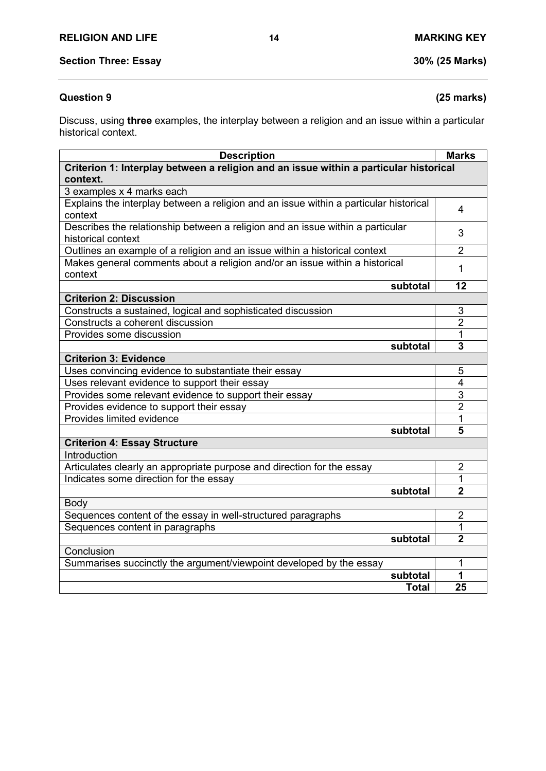Discuss, using **three** examples, the interplay between a religion and an issue within a particular historical context.

| <b>Description</b>                                                                                   |              | <b>Marks</b>            |
|------------------------------------------------------------------------------------------------------|--------------|-------------------------|
| Criterion 1: Interplay between a religion and an issue within a particular historical<br>context.    |              |                         |
| 3 examples x 4 marks each                                                                            |              |                         |
| Explains the interplay between a religion and an issue within a particular historical<br>context     |              | $\overline{4}$          |
| Describes the relationship between a religion and an issue within a particular<br>historical context |              | 3                       |
| Outlines an example of a religion and an issue within a historical context                           |              | $\overline{2}$          |
| Makes general comments about a religion and/or an issue within a historical<br>context               |              | 1                       |
|                                                                                                      | subtotal     | 12                      |
| <b>Criterion 2: Discussion</b>                                                                       |              |                         |
| Constructs a sustained, logical and sophisticated discussion                                         |              | 3                       |
| Constructs a coherent discussion                                                                     |              | $\overline{2}$          |
| Provides some discussion                                                                             |              | 1                       |
|                                                                                                      | subtotal     | 3                       |
| <b>Criterion 3: Evidence</b>                                                                         |              |                         |
| Uses convincing evidence to substantiate their essay                                                 |              | 5                       |
| Uses relevant evidence to support their essay                                                        |              | $\overline{\mathbf{4}}$ |
| Provides some relevant evidence to support their essay                                               |              | $\overline{3}$          |
| Provides evidence to support their essay                                                             |              | $\overline{2}$          |
| Provides limited evidence                                                                            |              | 1                       |
|                                                                                                      | subtotal     | 5                       |
| <b>Criterion 4: Essay Structure</b>                                                                  |              |                         |
| Introduction                                                                                         |              |                         |
| Articulates clearly an appropriate purpose and direction for the essay                               |              | $\overline{2}$          |
| Indicates some direction for the essay                                                               |              | 1                       |
|                                                                                                      | subtotal     | $\overline{2}$          |
| Body                                                                                                 |              |                         |
| Sequences content of the essay in well-structured paragraphs                                         |              | $\overline{2}$          |
| Sequences content in paragraphs                                                                      |              | 1                       |
|                                                                                                      | subtotal     | $\overline{2}$          |
| Conclusion                                                                                           |              |                         |
| Summarises succinctly the argument/viewpoint developed by the essay                                  |              | 1                       |
|                                                                                                      | subtotal     | 1                       |
|                                                                                                      | <b>Total</b> | 25                      |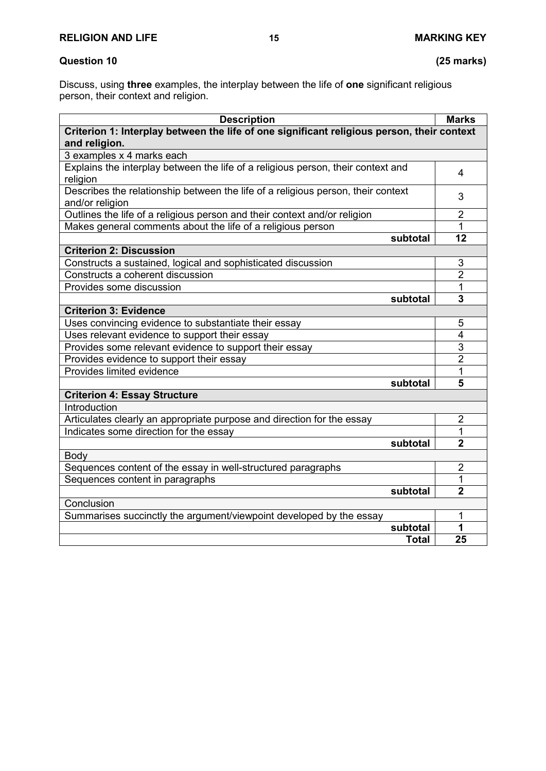# **Question 10 (25 marks)**

Discuss, using **three** examples, the interplay between the life of **one** significant religious person, their context and religion.

| <b>Description</b>                                                                                          |              | <b>Marks</b>            |
|-------------------------------------------------------------------------------------------------------------|--------------|-------------------------|
| Criterion 1: Interplay between the life of one significant religious person, their context<br>and religion. |              |                         |
| 3 examples x 4 marks each                                                                                   |              |                         |
| Explains the interplay between the life of a religious person, their context and<br>religion                |              | 4                       |
| Describes the relationship between the life of a religious person, their context<br>and/or religion         |              | 3                       |
| Outlines the life of a religious person and their context and/or religion                                   |              | $\overline{2}$          |
| Makes general comments about the life of a religious person                                                 |              | 1                       |
|                                                                                                             | subtotal     | 12                      |
| <b>Criterion 2: Discussion</b>                                                                              |              |                         |
| Constructs a sustained, logical and sophisticated discussion                                                |              | 3                       |
| Constructs a coherent discussion                                                                            |              | $\overline{2}$          |
| Provides some discussion                                                                                    |              | 1                       |
|                                                                                                             | subtotal     | 3                       |
| <b>Criterion 3: Evidence</b>                                                                                |              |                         |
| Uses convincing evidence to substantiate their essay                                                        |              | 5                       |
| Uses relevant evidence to support their essay                                                               |              | $\overline{\mathbf{4}}$ |
| Provides some relevant evidence to support their essay                                                      |              | 3                       |
| Provides evidence to support their essay                                                                    |              | $\overline{2}$          |
| Provides limited evidence                                                                                   |              | 1                       |
|                                                                                                             | subtotal     | 5                       |
| <b>Criterion 4: Essay Structure</b>                                                                         |              |                         |
| Introduction                                                                                                |              |                         |
| Articulates clearly an appropriate purpose and direction for the essay                                      |              | $\overline{2}$          |
| Indicates some direction for the essay                                                                      |              | 1                       |
|                                                                                                             | subtotal     | $\overline{2}$          |
| Body                                                                                                        |              |                         |
| Sequences content of the essay in well-structured paragraphs                                                |              | $\overline{2}$          |
| Sequences content in paragraphs                                                                             |              | 1                       |
|                                                                                                             | subtotal     | $\overline{2}$          |
| Conclusion                                                                                                  |              |                         |
| Summarises succinctly the argument/viewpoint developed by the essay                                         |              | 1                       |
|                                                                                                             | subtotal     | 1                       |
|                                                                                                             | <b>Total</b> | 25                      |